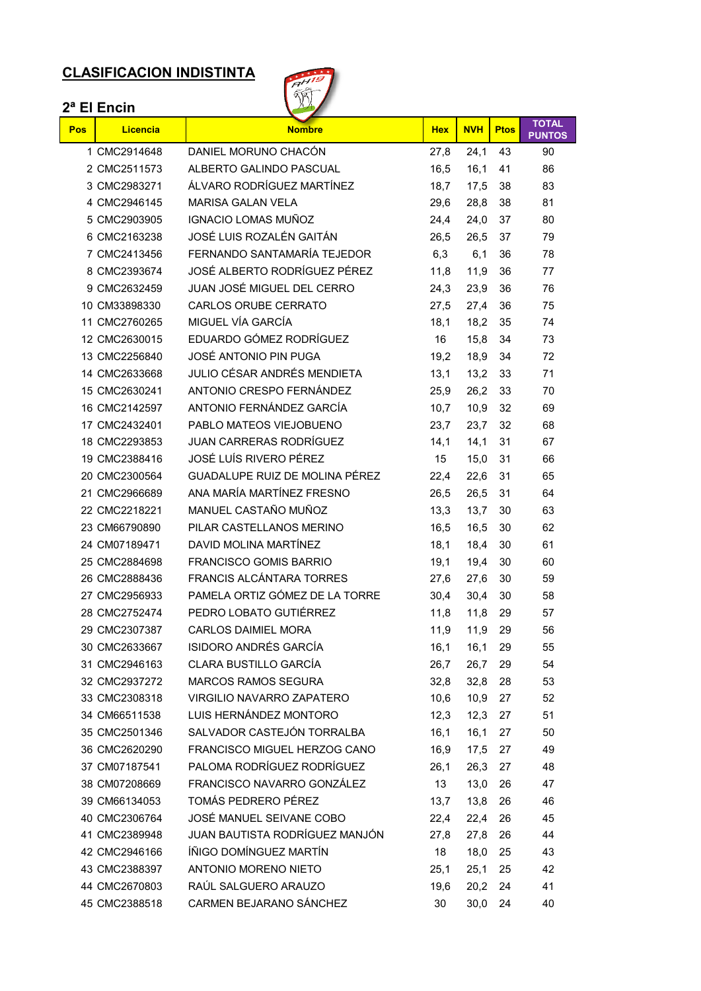# **CLASIFICACION INDISTINTA**



|     | 2 <sup>a</sup> El Encin |                                 |            |            |             |                               |
|-----|-------------------------|---------------------------------|------------|------------|-------------|-------------------------------|
| Pos | Licencia                | <b>Nombre</b>                   | <b>Hex</b> | <b>NVH</b> | <b>Ptos</b> | <b>TOTAL</b><br><b>PUNTOS</b> |
|     | 1 CMC2914648            | DANIEL MORUNO CHACÓN            | 27,8       | 24,1       | 43          | 90                            |
|     | 2 CMC2511573            | ALBERTO GALINDO PASCUAL         | 16,5       | 16.1       | 41          | 86                            |
|     | 3 CMC2983271            | ÁLVARO RODRÍGUEZ MARTÍNEZ       | 18,7       | 17,5       | 38          | 83                            |
|     | 4 CMC2946145            | <b>MARISA GALAN VELA</b>        | 29,6       | 28,8       | 38          | 81                            |
|     | 5 CMC2903905            | <b>IGNACIO LOMAS MUÑOZ</b>      | 24,4       | 24,0       | 37          | 80                            |
|     | 6 CMC2163238            | JOSÉ LUIS ROZALÉN GAITÁN        | 26.5       | 26,5       | 37          | 79                            |
|     | 7 CMC2413456            | FERNANDO SANTAMARÍA TEJEDOR     | 6,3        | 6,1        | 36          | 78                            |
|     | 8 CMC2393674            | JOSÉ ALBERTO RODRÍGUEZ PÉREZ    | 11,8       | 11,9       | 36          | 77                            |
|     | 9 CMC2632459            | JUAN JOSÉ MIGUEL DEL CERRO      | 24,3       | 23,9       | 36          | 76                            |
|     | 10 CM33898330           | <b>CARLOS ORUBE CERRATO</b>     | 27,5       | 27,4       | 36          | 75                            |
|     | 11 CMC2760265           | MIGUEL VÍA GARCÍA               | 18,1       | 18,2       | 35          | 74                            |
|     | 12 CMC2630015           | EDUARDO GÓMEZ RODRÍGUEZ         | 16         | 15,8       | 34          | 73                            |
|     | 13 CMC2256840           | JOSÉ ANTONIO PIN PUGA           | 19,2       | 18,9       | 34          | 72                            |
|     | 14 CMC2633668           | JULIO CÉSAR ANDRÉS MENDIETA     | 13.1       | 13,2       | 33          | 71                            |
|     | 15 CMC2630241           | ANTONIO CRESPO FERNÁNDEZ        | 25,9       | 26,2       | 33          | 70                            |
|     | 16 CMC2142597           | ANTONIO FERNÁNDEZ GARCÍA        | 10,7       | 10,9       | 32          | 69                            |
|     | 17 CMC2432401           | PABLO MATEOS VIEJOBUENO         | 23,7       | 23,7       | 32          | 68                            |
|     | 18 CMC2293853           | <b>JUAN CARRERAS RODRÍGUEZ</b>  | 14,1       | 14,1       | 31          | 67                            |
|     | 19 CMC2388416           | JOSÉ LUÍS RIVERO PÉREZ          | 15         | 15,0       | 31          | 66                            |
|     | 20 CMC2300564           | GUADALUPE RUIZ DE MOLINA PÉREZ  | 22,4       | 22,6       | 31          | 65                            |
|     | 21 CMC2966689           | ANA MARÍA MARTÍNEZ FRESNO       | 26,5       | 26,5       | 31          | 64                            |
|     | 22 CMC2218221           | MANUEL CASTAÑO MUÑOZ            | 13,3       | 13,7       | 30          | 63                            |
|     | 23 CM66790890           | PILAR CASTELLANOS MERINO        | 16,5       | 16,5       | 30          | 62                            |
|     | 24 CM07189471           | DAVID MOLINA MARTÍNEZ           | 18,1       | 18,4       | 30          | 61                            |
|     | 25 CMC2884698           | <b>FRANCISCO GOMIS BARRIO</b>   | 19,1       | 19,4       | 30          | 60                            |
|     | 26 CMC2888436           | <b>FRANCIS ALCÁNTARA TORRES</b> | 27,6       | 27,6       | 30          | 59                            |
|     | 27 CMC2956933           | PAMELA ORTIZ GÓMEZ DE LA TORRE  | 30,4       | 30,4       | 30          | 58                            |
|     | 28 CMC2752474           | PEDRO LOBATO GUTIÉRREZ          | 11,8       | 11,8       | 29          | 57                            |
|     | 29 CMC2307387           | CARLOS DAIMIEL MORA             | 11,9       | 11,9       | 29          | 56                            |
|     | 30 CMC2633667           | ISIDORO ANDRÉS GARCÍA           | 16,1       | 16,1       | 29          | 55                            |
|     | 31 CMC2946163           | <b>CLARA BUSTILLO GARCÍA</b>    | 26,7       | 26,7       | 29          | 54                            |
|     | 32 CMC2937272           | <b>MARCOS RAMOS SEGURA</b>      | 32,8       | 32,8       | 28          | 53                            |
|     | 33 CMC2308318           | VIRGILIO NAVARRO ZAPATERO       | 10,6       | 10,9       | 27          | 52                            |
|     | 34 CM66511538           | LUIS HERNÁNDEZ MONTORO          | 12,3       | 12,3       | 27          | 51                            |
|     | 35 CMC2501346           | SALVADOR CASTEJÓN TORRALBA      | 16,1       | 16,1       | 27          | 50                            |
|     | 36 CMC2620290           | FRANCISCO MIGUEL HERZOG CANO    | 16,9       | 17,5       | 27          | 49                            |
|     | 37 CM07187541           | PALOMA RODRÍGUEZ RODRÍGUEZ      | 26,1       | 26,3       | 27          | 48                            |
|     | 38 CM07208669           | FRANCISCO NAVARRO GONZÁLEZ      | 13         | 13,0       | 26          | 47                            |
|     | 39 CM66134053           | TOMÁS PEDRERO PÉREZ             | 13,7       | 13,8       | 26          | 46                            |
|     | 40 CMC2306764           | JOSÉ MANUEL SEIVANE COBO        | 22,4       | 22,4       | 26          | 45                            |
|     | 41 CMC2389948           | JUAN BAUTISTA RODRÍGUEZ MANJÓN  | 27,8       | 27,8       | 26          | 44                            |
|     | 42 CMC2946166           | ÍÑIGO DOMÍNGUEZ MARTÍN          | 18         | 18,0       | 25          | 43                            |
|     | 43 CMC2388397           | ANTONIO MORENO NIETO            | 25,1       | 25,1       | 25          | 42                            |
|     | 44 CMC2670803           | RAÚL SALGUERO ARAUZO            | 19,6       | 20,2       | 24          | 41                            |
|     | 45 CMC2388518           | CARMEN BEJARANO SÁNCHEZ         | 30         | 30,0       | 24          | 40                            |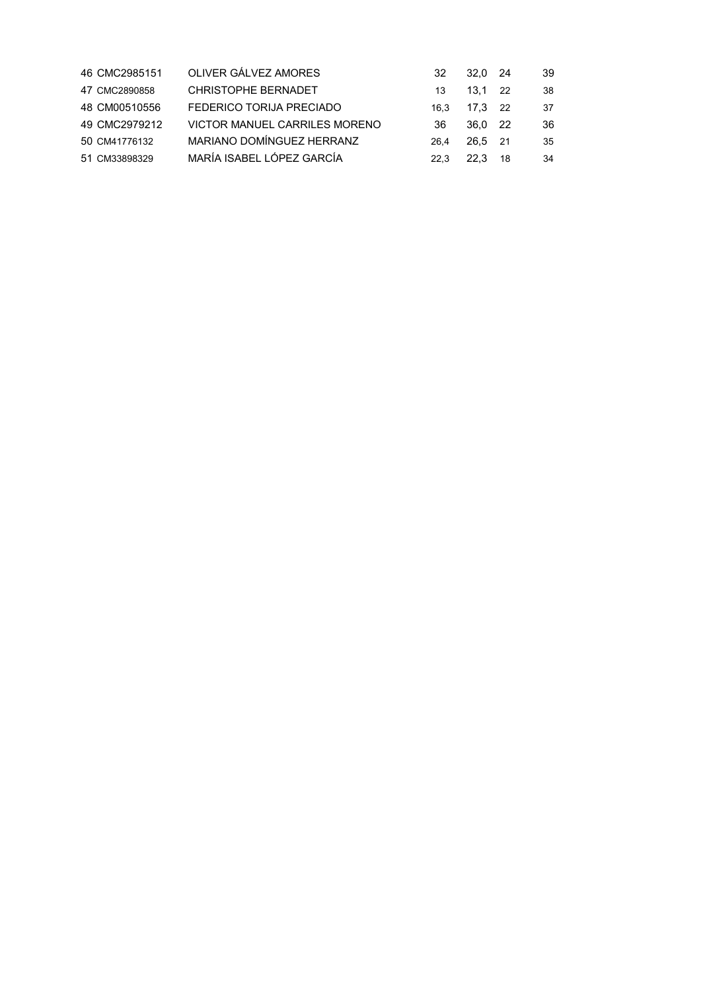| 46 CMC2985151 | OLIVER GÁLVEZ AMORES                 | 32   | 32.0 24   |     | 39 |
|---------------|--------------------------------------|------|-----------|-----|----|
| 47 CMC2890858 | <b>CHRISTOPHE BERNADET</b>           | 13   | $13.1$ 22 |     | 38 |
| 48 CM00510556 | FEDERICO TORIJA PRECIADO             | 16.3 | 17.3 22   |     | 37 |
| 49 CMC2979212 | <b>VICTOR MANUEL CARRILES MORENO</b> | 36   | 36.0 22   |     | 36 |
| 50 CM41776132 | MARIANO DOMÍNGUEZ HERRANZ            | 264  | 26.5 21   |     | 35 |
| 51 CM33898329 | MARÍA ISABEL LÓPEZ GARCÍA            | 22 3 | 22.3      | -18 | 34 |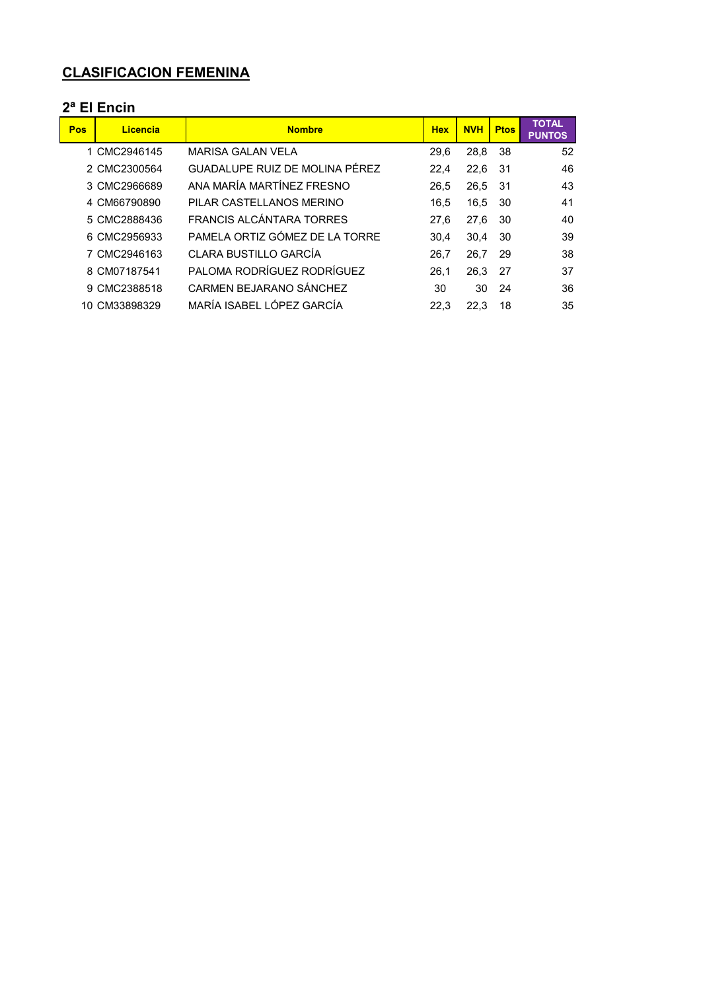## **CLASIFICACION FEMENINA**

#### **2ª El Encin**

| Pos | Licencia      | <b>Nombre</b>                  | <b>Hex</b> | <b>NVH</b> | <b>Ptos</b> | <b>TOTAL</b><br><b>PUNTOS</b> |
|-----|---------------|--------------------------------|------------|------------|-------------|-------------------------------|
|     | 1 CMC2946145  | <b>MARISA GALAN VELA</b>       | 29.6       | 28,8       | 38          | 52                            |
|     | 2 CMC2300564  | GUADALUPE RUIZ DE MOLINA PÉREZ | 22.4       | 22,6       | -31         | 46                            |
|     | 3 CMC2966689  | ANA MARÍA MARTÍNEZ ERESNO      | 26,5       | 26,5       | -31         | 43                            |
|     | 4 CM66790890  | PILAR CASTELLANOS MERINO       | 16.5       | 16.5       | 30          | 41                            |
|     | 5 CMC2888436  | FRANCIS AI CÁNTARA TORRES      | 27.6       | 27.6       | 30          | 40                            |
|     | 6 CMC2956933  | PAMELA ORTIZ GÓMEZ DE LA TORRE | 30.4       | 30.4       | 30          | 39                            |
|     | 7 CMC2946163  | CLARA BUSTILLO GARCÍA          | 26.7       | 26,7       | 29          | 38                            |
|     | 8 CM07187541  | PALOMA RODRÍGUEZ RODRÍGUEZ     | 26.1       | 26.3       | 27          | 37                            |
|     | 9 CMC2388518  | CARMEN BEJARANO SÁNCHEZ        | 30         | 30         | 24          | 36                            |
|     | 10 CM33898329 | MARÍA ISABEL I ÓPEZ GARCÍA     | 22.3       | 22.3       | 18          | 35                            |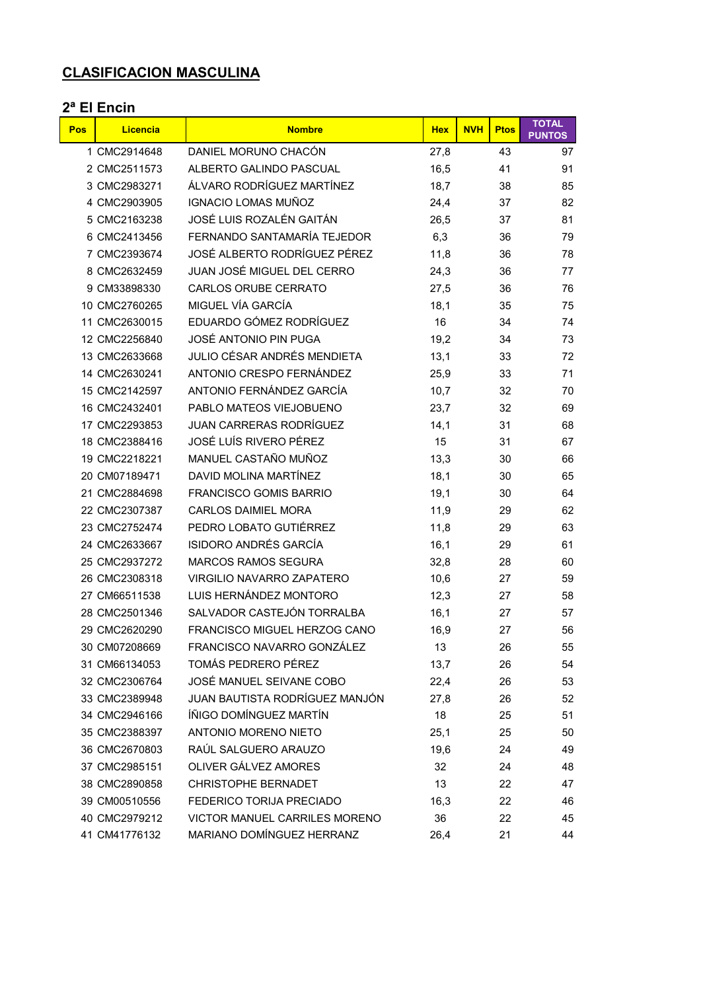## **CLASIFICACION MASCULINA**

### **2ª El Encin**

| <b>Pos</b> | <b>Licencia</b> | <b>Nombre</b>                  | <b>Hex</b> | <b>NVH</b> | <b>Ptos</b> | <b>TOTAL</b><br><b>PUNTOS</b> |
|------------|-----------------|--------------------------------|------------|------------|-------------|-------------------------------|
|            | 1 CMC2914648    | DANIEL MORUNO CHACÓN           | 27,8       |            | 43          | 97                            |
|            | 2 CMC2511573    | ALBERTO GALINDO PASCUAL        | 16,5       |            | 41          | 91                            |
|            | 3 CMC2983271    | ÁLVARO RODRÍGUEZ MARTÍNEZ      | 18,7       |            | 38          | 85                            |
|            | 4 CMC2903905    | <b>IGNACIO LOMAS MUÑOZ</b>     | 24,4       |            | 37          | 82                            |
|            | 5 CMC2163238    | JOSÉ LUIS ROZALÉN GAITÁN       | 26,5       |            | 37          | 81                            |
|            | 6 CMC2413456    | FERNANDO SANTAMARÍA TEJEDOR    | 6,3        |            | 36          | 79                            |
|            | 7 CMC2393674    | JOSÉ ALBERTO RODRÍGUEZ PÉREZ   | 11,8       |            | 36          | 78                            |
|            | 8 CMC2632459    | JUAN JOSÉ MIGUEL DEL CERRO     | 24,3       |            | 36          | 77                            |
|            | 9 CM33898330    | CARLOS ORUBE CERRATO           | 27,5       |            | 36          | 76                            |
|            | 10 CMC2760265   | MIGUEL VÍA GARCÍA              | 18,1       |            | 35          | 75                            |
|            | 11 CMC2630015   | EDUARDO GÓMEZ RODRÍGUEZ        | 16         |            | 34          | 74                            |
|            | 12 CMC2256840   | JOSÉ ANTONIO PIN PUGA          | 19,2       |            | 34          | 73                            |
|            | 13 CMC2633668   | JULIO CÉSAR ANDRÉS MENDIETA    | 13,1       |            | 33          | 72                            |
|            | 14 CMC2630241   | ANTONIO CRESPO FERNÁNDEZ       | 25,9       |            | 33          | 71                            |
|            | 15 CMC2142597   | ANTONIO FERNÁNDEZ GARCÍA       | 10,7       |            | 32          | 70                            |
|            | 16 CMC2432401   | PABLO MATEOS VIEJOBUENO        | 23,7       |            | 32          | 69                            |
|            | 17 CMC2293853   | <b>JUAN CARRERAS RODRÍGUEZ</b> | 14,1       |            | 31          | 68                            |
|            | 18 CMC2388416   | JOSÉ LUÍS RIVERO PÉREZ         | 15         |            | 31          | 67                            |
|            | 19 CMC2218221   | MANUEL CASTAÑO MUÑOZ           | 13,3       |            | 30          | 66                            |
|            | 20 CM07189471   | DAVID MOLINA MARTÍNEZ          | 18,1       |            | 30          | 65                            |
|            | 21 CMC2884698   | <b>FRANCISCO GOMIS BARRIO</b>  | 19,1       |            | 30          | 64                            |
|            | 22 CMC2307387   | <b>CARLOS DAIMIEL MORA</b>     | 11,9       |            | 29          | 62                            |
|            | 23 CMC2752474   | PEDRO LOBATO GUTIÉRREZ         | 11,8       |            | 29          | 63                            |
|            | 24 CMC2633667   | <b>ISIDORO ANDRÉS GARCÍA</b>   | 16,1       |            | 29          | 61                            |
|            | 25 CMC2937272   | <b>MARCOS RAMOS SEGURA</b>     | 32,8       |            | 28          | 60                            |
|            | 26 CMC2308318   | VIRGILIO NAVARRO ZAPATERO      | 10,6       |            | 27          | 59                            |
|            | 27 CM66511538   | LUIS HERNÁNDEZ MONTORO         | 12,3       |            | 27          | 58                            |
|            | 28 CMC2501346   | SALVADOR CASTEJÓN TORRALBA     | 16,1       |            | 27          | 57                            |
|            | 29 CMC2620290   | FRANCISCO MIGUEL HERZOG CANO   | 16,9       |            | 27          | 56                            |
|            | 30 CM07208669   | FRANCISCO NAVARRO GONZÁLEZ     | 13         |            | 26          | 55                            |
|            | 31 CM66134053   | TOMÁS PEDRERO PÉREZ            | 13,7       |            | 26          | 54                            |
|            | 32 CMC2306764   | JOSÉ MANUEL SEIVANE COBO       | 22,4       |            | 26          | 53                            |
|            | 33 CMC2389948   | JUAN BAUTISTA RODRÍGUEZ MANJÓN | 27,8       |            | 26          | 52                            |
|            | 34 CMC2946166   | ÍÑIGO DOMÍNGUEZ MARTÍN         | 18         |            | 25          | 51                            |
|            | 35 CMC2388397   | <b>ANTONIO MORENO NIETO</b>    | 25,1       |            | 25          | 50                            |
|            | 36 CMC2670803   | RAÚL SALGUERO ARAUZO           | 19,6       |            | 24          | 49                            |
|            | 37 CMC2985151   | OLIVER GÁLVEZ AMORES           | 32         |            | 24          | 48                            |
|            | 38 CMC2890858   | <b>CHRISTOPHE BERNADET</b>     | 13         |            | 22          | 47                            |
|            | 39 CM00510556   | FEDERICO TORIJA PRECIADO       | 16,3       |            | 22          | 46                            |
|            | 40 CMC2979212   | VICTOR MANUEL CARRILES MORENO  | 36         |            | 22          | 45                            |
|            | 41 CM41776132   | MARIANO DOMÍNGUEZ HERRANZ      | 26,4       |            | 21          | 44                            |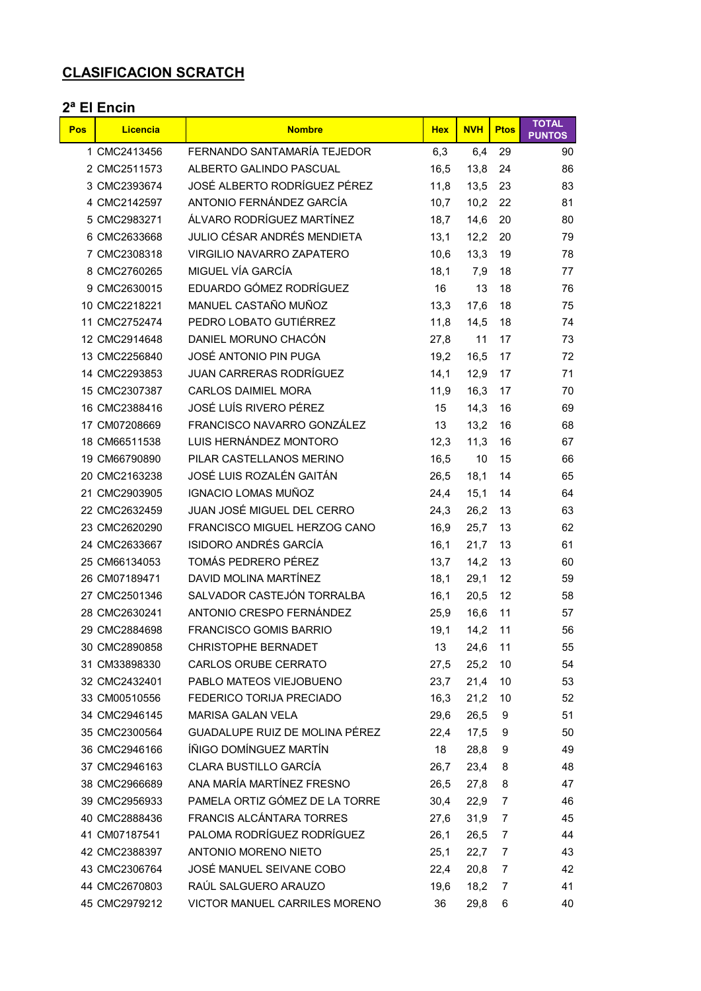## **CLASIFICACION SCRATCH**

#### **2ª El Encin**

| Pos | <b>Licencia</b> | <b>Nombre</b>                    | <b>Hex</b> | <b>NVH</b> | <b>Ptos</b> | <b>TOTAL</b><br><b>PUNTOS</b> |
|-----|-----------------|----------------------------------|------------|------------|-------------|-------------------------------|
|     | 1 CMC2413456    | FERNANDO SANTAMARÍA TEJEDOR      | 6,3        | 6,4        | 29          | 90                            |
|     | 2 CMC2511573    | ALBERTO GALINDO PASCUAL          | 16,5       | 13,8       | 24          | 86                            |
|     | 3 CMC2393674    | JOSÉ ALBERTO RODRÍGUEZ PÉREZ     | 11,8       | 13,5       | 23          | 83                            |
|     | 4 CMC2142597    | ANTONIO FERNÁNDEZ GARCÍA         | 10,7       | 10,2       | 22          | 81                            |
|     | 5 CMC2983271    | ÁLVARO RODRÍGUEZ MARTÍNEZ        | 18,7       | 14,6       | 20          | 80                            |
|     | 6 CMC2633668    | JULIO CÉSAR ANDRÉS MENDIETA      | 13,1       | 12,2       | 20          | 79                            |
|     | 7 CMC2308318    | <b>VIRGILIO NAVARRO ZAPATERO</b> | 10,6       | 13,3       | 19          | 78                            |
|     | 8 CMC2760265    | MIGUEL VÍA GARCÍA                | 18,1       | 7,9        | 18          | 77                            |
|     | 9 CMC2630015    | EDUARDO GÓMEZ RODRÍGUEZ          | 16         | 13         | 18          | 76                            |
|     | 10 CMC2218221   | MANUEL CASTAÑO MUÑOZ             | 13,3       | 17,6       | 18          | 75                            |
|     | 11 CMC2752474   | PEDRO LOBATO GUTIÉRREZ           | 11,8       | 14,5       | 18          | 74                            |
|     | 12 CMC2914648   | DANIEL MORUNO CHACÓN             | 27,8       | 11         | 17          | 73                            |
|     | 13 CMC2256840   | JOSÉ ANTONIO PIN PUGA            | 19,2       | 16,5       | 17          | 72                            |
|     | 14 CMC2293853   | <b>JUAN CARRERAS RODRÍGUEZ</b>   | 14,1       | 12.9       | 17          | 71                            |
|     | 15 CMC2307387   | <b>CARLOS DAIMIEL MORA</b>       | 11,9       | 16,3       | 17          | 70                            |
|     | 16 CMC2388416   | JOSÉ LUÍS RIVERO PÉREZ           | 15         | 14,3       | 16          | 69                            |
|     | 17 CM07208669   | FRANCISCO NAVARRO GONZÁLEZ       | 13         | 13,2       | 16          | 68                            |
|     | 18 CM66511538   | LUIS HERNÁNDEZ MONTORO           | 12,3       | 11,3       | 16          | 67                            |
|     | 19 CM66790890   | PILAR CASTELLANOS MERINO         | 16,5       | 10         | 15          | 66                            |
|     | 20 CMC2163238   | JOSÉ LUIS ROZALÉN GAITÁN         | 26,5       | 18,1       | 14          | 65                            |
|     | 21 CMC2903905   | <b>IGNACIO LOMAS MUÑOZ</b>       | 24,4       | 15.1       | 14          | 64                            |
|     | 22 CMC2632459   | JUAN JOSÉ MIGUEL DEL CERRO       | 24,3       | 26,2       | 13          | 63                            |
|     | 23 CMC2620290   | FRANCISCO MIGUEL HERZOG CANO     | 16,9       | 25,7       | 13          | 62                            |
|     | 24 CMC2633667   | ISIDORO ANDRÉS GARCÍA            | 16,1       | 21,7       | 13          | 61                            |
|     | 25 CM66134053   | TOMÁS PEDRERO PÉREZ              | 13,7       | 14,2       | 13          | 60                            |
|     | 26 CM07189471   | DAVID MOLINA MARTÍNEZ            | 18,1       | 29,1       | 12          | 59                            |
|     | 27 CMC2501346   | SALVADOR CASTEJÓN TORRALBA       | 16,1       | 20,5       | 12          | 58                            |
|     | 28 CMC2630241   | ANTONIO CRESPO FERNÁNDEZ         | 25,9       | 16,6       | 11          | 57                            |
|     | 29 CMC2884698   | <b>FRANCISCO GOMIS BARRIO</b>    | 19,1       | 14,2       | 11          | 56                            |
|     | 30 CMC2890858   | <b>CHRISTOPHE BERNADET</b>       | 13         | 24,6       | 11          | 55                            |
|     | 31 CM33898330   | <b>CARLOS ORUBE CERRATO</b>      | 27,5       | 25,2       | 10          | 54                            |
|     | 32 CMC2432401   | PABLO MATEOS VIEJOBUENO          | 23,7       | 21,4       | 10          | 53                            |
|     | 33 CM00510556   | FEDERICO TORIJA PRECIADO         | 16,3       | 21,2       | 10          | 52                            |
|     | 34 CMC2946145   | <b>MARISA GALAN VELA</b>         | 29,6       | 26,5       | 9           | 51                            |
|     | 35 CMC2300564   | GUADALUPE RUIZ DE MOLINA PÉREZ   | 22,4       | 17,5       | 9           | 50                            |
|     | 36 CMC2946166   | ÍÑIGO DOMÍNGUEZ MARTÍN           | 18         | 28,8       | 9           | 49                            |
|     | 37 CMC2946163   | <b>CLARA BUSTILLO GARCÍA</b>     | 26,7       | 23,4       | 8           | 48                            |
|     | 38 CMC2966689   | ANA MARÍA MARTÍNEZ FRESNO        | 26,5       | 27,8       | 8           | 47                            |
|     | 39 CMC2956933   | PAMELA ORTIZ GÓMEZ DE LA TORRE   | 30,4       | 22,9       | 7           | 46                            |
|     | 40 CMC2888436   | <b>FRANCIS ALCÁNTARA TORRES</b>  | 27,6       | 31,9       | 7           | 45                            |
|     | 41 CM07187541   | PALOMA RODRÍGUEZ RODRÍGUEZ       | 26,1       | 26,5       | 7           | 44                            |
|     | 42 CMC2388397   | <b>ANTONIO MORENO NIETO</b>      | 25,1       | 22,7       | 7           | 43                            |
|     | 43 CMC2306764   | JOSÉ MANUEL SEIVANE COBO         | 22,4       | 20,8       | 7           | 42                            |
|     | 44 CMC2670803   | RAÚL SALGUERO ARAUZO             | 19,6       | 18,2       | 7           | 41                            |
|     | 45 CMC2979212   | VICTOR MANUEL CARRILES MORENO    | 36         | 29,8       | 6           | 40                            |